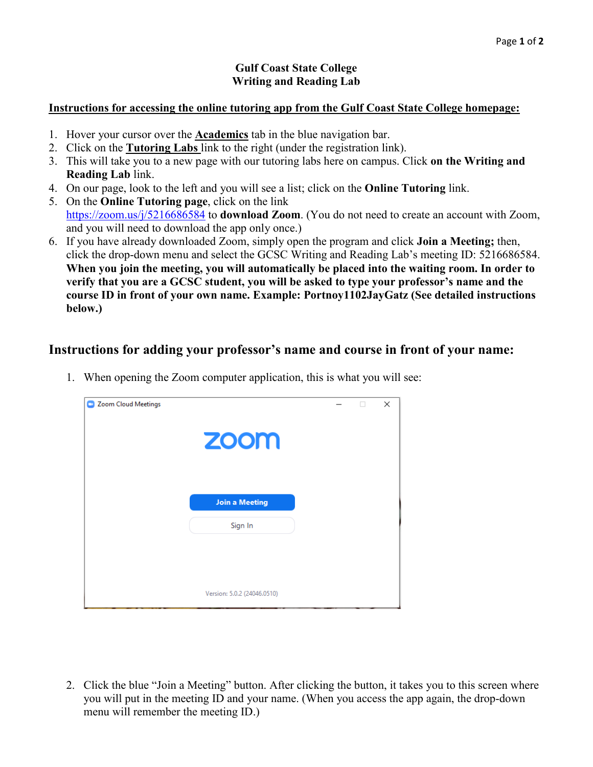## **Gulf Coast State College Writing and Reading Lab**

## **Instructions for accessing the online tutoring app from the Gulf Coast State College homepage:**

- 1. Hover your cursor over the **Academics** tab in the blue navigation bar.
- 2. Click on the **Tutoring Labs** link to the right (under the registration link).
- 3. This will take you to a new page with our tutoring labs here on campus. Click **on the Writing and Reading Lab** link.
- 4. On our page, look to the left and you will see a list; click on the **Online Tutoring** link.
- 5. On the **Online Tutoring page**, click on the link

<https://zoom.us/j/5216686584> to **download Zoom**. (You do not need to create an account with Zoom, and you will need to download the app only once.)

6. If you have already downloaded Zoom, simply open the program and click **Join a Meeting;** then, click the drop-down menu and select the GCSC Writing and Reading Lab's meeting ID: 5216686584. **When you join the meeting, you will automatically be placed into the waiting room. In order to verify that you are a GCSC student, you will be asked to type your professor's name and the course ID in front of your own name. Example: Portnoy1102JayGatz (See detailed instructions below.)** 

## **Instructions for adding your professor's name and course in front of your name:**

| Zoom Cloud Meetings<br>œ | zoom                        |  | п | × |
|--------------------------|-----------------------------|--|---|---|
|                          | <b>Join a Meeting</b>       |  |   |   |
|                          | Sign In                     |  |   |   |
|                          | Version: 5.0.2 (24046.0510) |  |   |   |

1. When opening the Zoom computer application, this is what you will see:

2. Click the blue "Join a Meeting" button. After clicking the button, it takes you to this screen where you will put in the meeting ID and your name. (When you access the app again, the drop-down menu will remember the meeting ID.)